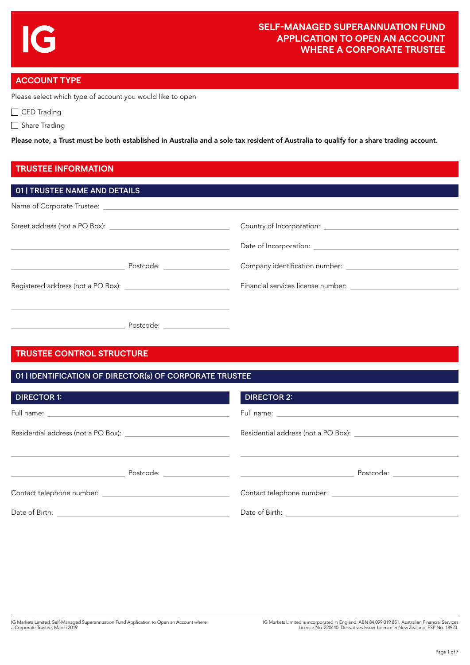## **ACCOUNT TYPE**

Please select which type of account you would like to open

CFD Trading

Share Trading

Please note, a Trust must be both established in Australia and a sole tax resident of Australia to qualify for a share trading account.

## **TRUSTEE INFORMATION**

## **TRUSTEE CONTROL STRUCTURE**

Postcode:

| 01   IDENTIFICATION OF DIRECTOR(s) OF CORPORATE TRUSTEE |                                                                                                                                                                                                                                |
|---------------------------------------------------------|--------------------------------------------------------------------------------------------------------------------------------------------------------------------------------------------------------------------------------|
| <b>DIRECTOR 1:</b>                                      | <b>DIRECTOR 2:</b>                                                                                                                                                                                                             |
|                                                         |                                                                                                                                                                                                                                |
|                                                         |                                                                                                                                                                                                                                |
|                                                         | Postcode: New York Postcode:                                                                                                                                                                                                   |
|                                                         |                                                                                                                                                                                                                                |
|                                                         | Date of Birth: National Action of Birth: National Action of Birth: National Action of Action of Action of Action of Action of Action of Action of Action of Action of Action of Action of Action of Action of Action of Action |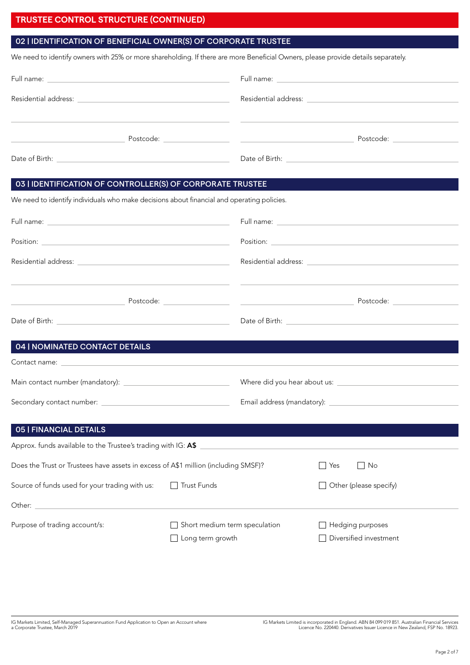# **TRUSTEE CONTROL STRUCTURE (CONTINUED)**

## 02 | IDENTIFICATION OF BENEFICIAL OWNER(S) OF CORPORATE TRUSTEE

We need to identify owners with 25% or more shareholding. If there are more Beneficial Owners, please provide details separately.

| Full name: <u>Communication of the communication</u> |
|------------------------------------------------------|
|                                                      |
| Postcode: _________________                          |
| Date of Birth:                                       |

#### 03 | IDENTIFICATION OF CONTROLLER(S) OF CORPORATE TRUSTEE

We need to identify individuals who make decisions about financial and operating policies.

| 04   NOMINATED CONTACT DETAILS                                                                                    |                                                   |     |                                            |
|-------------------------------------------------------------------------------------------------------------------|---------------------------------------------------|-----|--------------------------------------------|
|                                                                                                                   |                                                   |     |                                            |
|                                                                                                                   |                                                   |     |                                            |
|                                                                                                                   |                                                   |     |                                            |
| <b>05   FINANCIAL DETAILS</b>                                                                                     |                                                   |     |                                            |
| Approx. funds available to the Trustee's trading with IG: A\$                                                     |                                                   |     |                                            |
| Does the Trust or Trustees have assets in excess of A\$1 million (including SMSF)?                                |                                                   | Yes | $\Box$ No                                  |
| Source of funds used for your trading with us:                                                                    | □ Trust Funds                                     |     | $\Box$ Other (please specify)              |
| Other: North Commission and Commission and Commission and Commission and Commission and Commission and Commission |                                                   |     |                                            |
| Purpose of trading account/s:                                                                                     | Short medium term speculation<br>Long term growth |     | Hedging purposes<br>Diversified investment |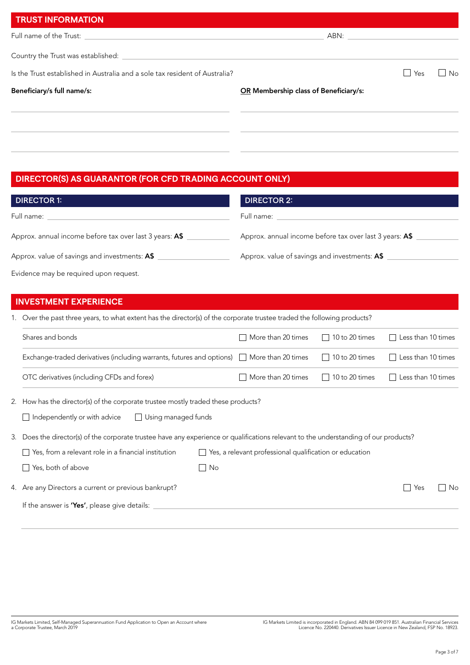| <b>TRUST INFORMATION</b>                                                    |                                       |
|-----------------------------------------------------------------------------|---------------------------------------|
|                                                                             |                                       |
|                                                                             |                                       |
| Is the Trust established in Australia and a sole tax resident of Australia? | $ $ $ $ Yes<br><b>No</b>              |
| Beneficiary/s full name/s:                                                  | OR Membership class of Beneficiary/s: |
|                                                                             |                                       |
|                                                                             |                                       |
|                                                                             |                                       |

# **DIRECTOR(S) AS GUARANTOR (FOR CFD TRADING ACCOUNT ONLY)**

| <b>DIRECTOR 1:</b>                                      | <b>DIRECTOR 2:</b>                                      |
|---------------------------------------------------------|---------------------------------------------------------|
| Full name:                                              | Full name:                                              |
| Approx. annual income before tax over last 3 years: A\$ | Approx. annual income before tax over last 3 years: A\$ |
| Approx. value of savings and investments: A\$           | Approx. value of savings and investments: A\$           |
| Evidence may be required upon request.                  |                                                         |

# **INVESTMENT EXPERIENCE**

|  |  |  | 1. Over the past three years, to what extent has the director(s) of the corporate trustee traded the following products? |
|--|--|--|--------------------------------------------------------------------------------------------------------------------------|
|  |  |  |                                                                                                                          |

| Shares and bonds                                                                                                                                | More than 20 times                                      | 10 to 20 times<br>$\vert$           | Less than 10 times |    |
|-------------------------------------------------------------------------------------------------------------------------------------------------|---------------------------------------------------------|-------------------------------------|--------------------|----|
| Exchange-traded derivatives (including warrants, futures and options) $\Box$                                                                    | More than 20 times                                      | 10 to 20 times<br>$\vert \ \ \vert$ | Less than 10 times |    |
| OTC derivatives (including CFDs and forex)                                                                                                      | More than 20 times                                      | 10 to 20 times<br>$\mathbf{I}$      | Less than 10 times |    |
| 2. How has the director(s) of the corporate trustee mostly traded these products?<br>Independently or with advice<br>$\Box$ Using managed funds |                                                         |                                     |                    |    |
| 3. Does the director(s) of the corporate trustee have any experience or qualifications relevant to the understanding of our products?           |                                                         |                                     |                    |    |
| Yes, from a relevant role in a financial institution                                                                                            | Yes, a relevant professional qualification or education |                                     |                    |    |
| Yes, both of above<br>No No                                                                                                                     |                                                         |                                     |                    |    |
| 4. Are any Directors a current or previous bankrupt?                                                                                            |                                                         |                                     | Yes                | No |
| If the answer is 'Yes', please give details:                                                                                                    |                                                         |                                     |                    |    |
|                                                                                                                                                 |                                                         |                                     |                    |    |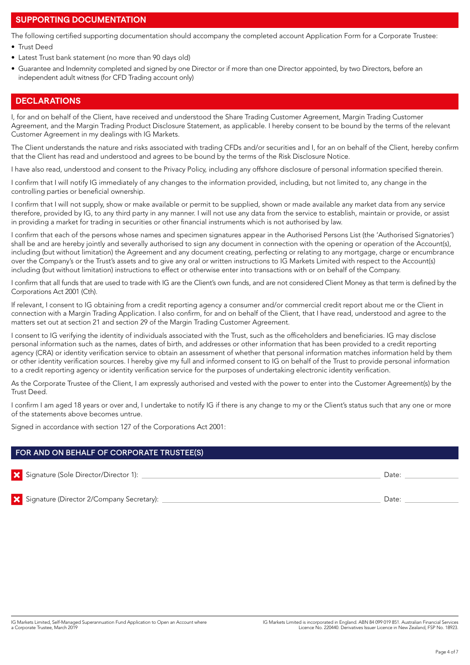## **SUPPORTING DOCUMENTATION**

The following certified supporting documentation should accompany the completed account Application Form for a Corporate Trustee:

- Trust Deed
- Latest Trust bank statement (no more than 90 days old)
- Guarantee and Indemnity completed and signed by one Director or if more than one Director appointed, by two Directors, before an independent adult witness (for CFD Trading account only)

## **DECLARATIONS**

I, for and on behalf of the Client, have received and understood the Share Trading Customer Agreement, Margin Trading Customer Agreement, and the Margin Trading Product Disclosure Statement, as applicable. I hereby consent to be bound by the terms of the relevant Customer Agreement in my dealings with IG Markets.

The Client understands the nature and risks associated with trading CFDs and/or securities and I, for an on behalf of the Client, hereby confirm that the Client has read and understood and agrees to be bound by the terms of the Risk Disclosure Notice.

I have also read, understood and consent to the Privacy Policy, including any offshore disclosure of personal information specified therein.

I confirm that I will notify IG immediately of any changes to the information provided, including, but not limited to, any change in the controlling parties or beneficial ownership.

I confirm that I will not supply, show or make available or permit to be supplied, shown or made available any market data from any service therefore, provided by IG, to any third party in any manner. I will not use any data from the service to establish, maintain or provide, or assist in providing a market for trading in securities or other financial instruments which is not authorised by law.

I confirm that each of the persons whose names and specimen signatures appear in the Authorised Persons List (the 'Authorised Signatories') shall be and are hereby jointly and severally authorised to sign any document in connection with the opening or operation of the Account(s), including (but without limitation) the Agreement and any document creating, perfecting or relating to any mortgage, charge or encumbrance over the Company's or the Trust's assets and to give any oral or written instructions to IG Markets Limited with respect to the Account(s) including (but without limitation) instructions to effect or otherwise enter into transactions with or on behalf of the Company.

I confirm that all funds that are used to trade with IG are the Client's own funds, and are not considered Client Money as that term is defined by the Corporations Act 2001 (Cth).

If relevant, I consent to IG obtaining from a credit reporting agency a consumer and/or commercial credit report about me or the Client in connection with a Margin Trading Application. I also confirm, for and on behalf of the Client, that I have read, understood and agree to the matters set out at section 21 and section 29 of the Margin Trading Customer Agreement.

I consent to IG verifying the identity of individuals associated with the Trust, such as the officeholders and beneficiaries. IG may disclose personal information such as the names, dates of birth, and addresses or other information that has been provided to a credit reporting agency (CRA) or identity verification service to obtain an assessment of whether that personal information matches information held by them or other identity verification sources. I hereby give my full and informed consent to IG on behalf of the Trust to provide personal information to a credit reporting agency or identity verification service for the purposes of undertaking electronic identity verification.

As the Corporate Trustee of the Client, I am expressly authorised and vested with the power to enter into the Customer Agreement(s) by the Trust Deed.

I confirm I am aged 18 years or over and, I undertake to notify IG if there is any change to my or the Client's status such that any one or more of the statements above becomes untrue.

Signed in accordance with section 127 of the Corporations Act 2001:

#### FOR AND ON BEHALF OF CORPORATE TRUSTEE(S)

| Signature (Sole Director/Director 1): | Date: |
|---------------------------------------|-------|
|                                       |       |
|                                       |       |

Signature (Director 2/Company Secretary): Date: Date: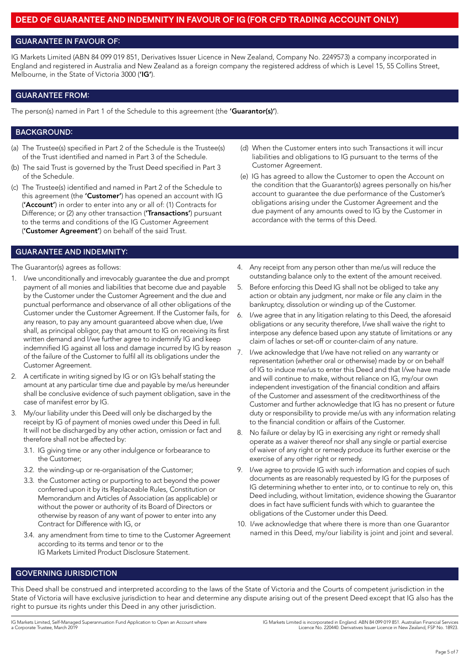## **DEED OF GUARANTEE AND INDEMNITY IN FAVOUR OF IG (FOR CFD TRADING ACCOUNT ONLY)**

#### GUARANTEE IN FAVOUR OF:

IG Markets Limited (ABN 84 099 019 851, Derivatives Issuer Licence in New Zealand, Company No. 2249573) a company incorporated in England and registered in Australia and New Zealand as a foreign company the registered address of which is Level 15, 55 Collins Street, Melbourne, in the State of Victoria 3000 ('IG').

#### GUARANTEE FROM:

The person(s) named in Part 1 of the Schedule to this agreement (the 'Guarantor(s)').

#### BACKGROUND:

- (a) The Trustee(s) specified in Part 2 of the Schedule is the Trustee(s) of the Trust identified and named in Part 3 of the Schedule.
- (b) The said Trust is governed by the Trust Deed specified in Part 3 of the Schedule.
- (c) The Trustee(s) identified and named in Part 2 of the Schedule to this agreement (the 'Customer') has opened an account with IG ('Account') in order to enter into any or all of: (1) Contracts for Difference; or (2) any other transaction ('Transactions') pursuant to the terms and conditions of the IG Customer Agreement ('Customer Agreement') on behalf of the said Trust.
- (d) When the Customer enters into such Transactions it will incur liabilities and obligations to IG pursuant to the terms of the Customer Agreement.
- (e) IG has agreed to allow the Customer to open the Account on the condition that the Guarantor(s) agrees personally on his/her account to guarantee the due performance of the Customer's obligations arising under the Customer Agreement and the due payment of any amounts owed to IG by the Customer in accordance with the terms of this Deed.

#### GUARANTEE AND INDEMNITY:

The Guarantor(s) agrees as follows:

- 1. I/we unconditionally and irrevocably guarantee the due and prompt payment of all monies and liabilities that become due and payable by the Customer under the Customer Agreement and the due and punctual performance and observance of all other obligations of the Customer under the Customer Agreement. If the Customer fails, for any reason, to pay any amount guaranteed above when due, I/we shall, as principal obligor, pay that amount to IG on receiving its first written demand and I/we further agree to indemnify IG and keep indemnified IG against all loss and damage incurred by IG by reason of the failure of the Customer to fulfil all its obligations under the Customer Agreement.
- 2. A certificate in writing signed by IG or on IG's behalf stating the amount at any particular time due and payable by me/us hereunder shall be conclusive evidence of such payment obligation, save in the case of manifest error by IG.
- 3. My/our liability under this Deed will only be discharged by the receipt by IG of payment of monies owed under this Deed in full. It will not be discharged by any other action, omission or fact and therefore shall not be affected by:
	- 3.1. IG giving time or any other indulgence or forbearance to the Customer;
	- 3.2. the winding-up or re-organisation of the Customer;
	- 3.3. the Customer acting or purporting to act beyond the power conferred upon it by its Replaceable Rules, Constitution or Memorandum and Articles of Association (as applicable) or without the power or authority of its Board of Directors or otherwise by reason of any want of power to enter into any Contract for Difference with IG, or
	- 3.4. any amendment from time to time to the Customer Agreement according to its terms and tenor or to the IG Markets Limited Product Disclosure Statement.
- 4. Any receipt from any person other than me/us will reduce the outstanding balance only to the extent of the amount received.
- 5. Before enforcing this Deed IG shall not be obliged to take any action or obtain any judgment, nor make or file any claim in the bankruptcy, dissolution or winding up of the Customer.
- 6. I/we agree that in any litigation relating to this Deed, the aforesaid obligations or any security therefore, I/we shall waive the right to interpose any defence based upon any statute of limitations or any claim of laches or set-off or counter-claim of any nature.
- 7. I/we acknowledge that I/we have not relied on any warranty or representation (whether oral or otherwise) made by or on behalf of IG to induce me/us to enter this Deed and that I/we have made and will continue to make, without reliance on IG, my/our own independent investigation of the financial condition and affairs of the Customer and assessment of the creditworthiness of the Customer and further acknowledge that IG has no present or future duty or responsibility to provide me/us with any information relating to the financial condition or affairs of the Customer.
- 8. No failure or delay by IG in exercising any right or remedy shall operate as a waiver thereof nor shall any single or partial exercise of waiver of any right or remedy produce its further exercise or the exercise of any other right or remedy.
- I/we agree to provide IG with such information and copies of such documents as are reasonably requested by IG for the purposes of IG determining whether to enter into, or to continue to rely on, this Deed including, without limitation, evidence showing the Guarantor does in fact have sufficient funds with which to guarantee the obligations of the Customer under this Deed.
- 10. I/we acknowledge that where there is more than one Guarantor named in this Deed, my/our liability is joint and joint and several.

#### GOVERNING JURISDICTION

This Deed shall be construed and interpreted according to the laws of the State of Victoria and the Courts of competent jurisdiction in the State of Victoria will have exclusive jurisdiction to hear and determine any dispute arising out of the present Deed except that IG also has the right to pursue its rights under this Deed in any other jurisdiction.

IG Markets Limited, Self-Managed Superannuation Fund Application to Open an Account where a Corporate Trustee, March 2019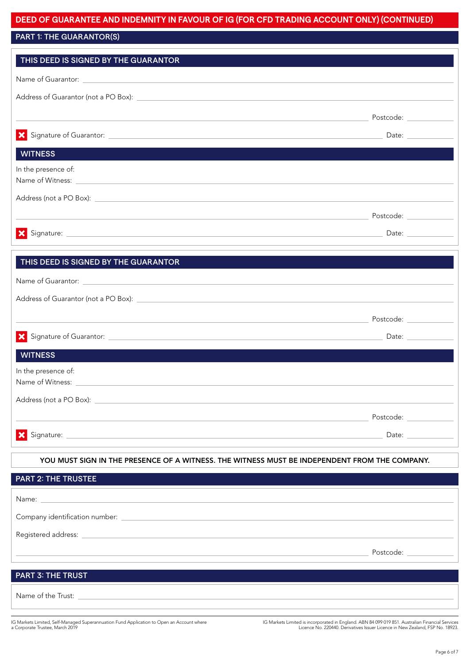# **DEED OF GUARANTEE AND INDEMNITY IN FAVOUR OF IG (FOR CFD TRADING ACCOUNT ONLY) (CONTINUED)**

## PART 1: THE GUARANTOR(S)

| THIS DEED IS SIGNED BY THE GUARANTOR                                                                                                                                                                                           |                                                        |  |
|--------------------------------------------------------------------------------------------------------------------------------------------------------------------------------------------------------------------------------|--------------------------------------------------------|--|
|                                                                                                                                                                                                                                |                                                        |  |
|                                                                                                                                                                                                                                |                                                        |  |
|                                                                                                                                                                                                                                |                                                        |  |
|                                                                                                                                                                                                                                |                                                        |  |
| $\boldsymbol{\mathsf{x}}$                                                                                                                                                                                                      | Date: $\frac{1}{2}$                                    |  |
| <b>WITNESS</b>                                                                                                                                                                                                                 |                                                        |  |
| In the presence of:                                                                                                                                                                                                            |                                                        |  |
| Name of Witness: Name of Witness: Name of Witness: Name of Witness: Name of Witness: Name of Witness: Name of Witness: Name of Witness: Name of Witness: Name of Witness: Name of Witness: Name of Witness: Name of Witness: N |                                                        |  |
|                                                                                                                                                                                                                                |                                                        |  |
|                                                                                                                                                                                                                                |                                                        |  |
| X Signature: 2008 Contract Contract Contract Contract Contract Contract Contract Contract Contract Contract Contract Contract Contract Contract Contract Contract Contract Contract Contract Contract Contract Contract Contra | Date: $\frac{1}{\sqrt{1-\frac{1}{2}}\cdot\frac{1}{2}}$ |  |
|                                                                                                                                                                                                                                |                                                        |  |
| THIS DEED IS SIGNED BY THE GUARANTOR                                                                                                                                                                                           |                                                        |  |
| Name of Guarantor: Name of Guarantor:                                                                                                                                                                                          |                                                        |  |
|                                                                                                                                                                                                                                |                                                        |  |
|                                                                                                                                                                                                                                |                                                        |  |
| X Signature of Guarantor: <u>San American State of Guarantor:</u> September 2014                                                                                                                                               | Date: $\frac{1}{2}$                                    |  |
| <b>WITNESS</b>                                                                                                                                                                                                                 |                                                        |  |
| In the presence of:                                                                                                                                                                                                            |                                                        |  |
| Name of Witness: Name of Witness:                                                                                                                                                                                              |                                                        |  |
| Address (not a PO Box):                                                                                                                                                                                                        |                                                        |  |
|                                                                                                                                                                                                                                | Postcode:                                              |  |
| ×                                                                                                                                                                                                                              |                                                        |  |
| Signature:                                                                                                                                                                                                                     | Date:                                                  |  |
| YOU MUST SIGN IN THE PRESENCE OF A WITNESS. THE WITNESS MUST BE INDEPENDENT FROM THE COMPANY.                                                                                                                                  |                                                        |  |
| <b>PART 2: THE TRUSTEE</b>                                                                                                                                                                                                     |                                                        |  |
| Name:                                                                                                                                                                                                                          |                                                        |  |
|                                                                                                                                                                                                                                |                                                        |  |

| Company identification number: |           |
|--------------------------------|-----------|
| Registered address: _________  |           |
|                                | Postcode: |
|                                |           |
| <b>PART 3: THE TRUST</b>       |           |

Name of the Trust:

IG Markets Limited, Self-Managed Superannuation Fund Application to Open an Account where a Corporate Trustee, March 2019

IG Markets Limited is incorporated in England. ABN 84 099 019 851. Australian Financial Services Licence No. 220440. Derivatives Issuer Licence in New Zealand, FSP No. 18923.